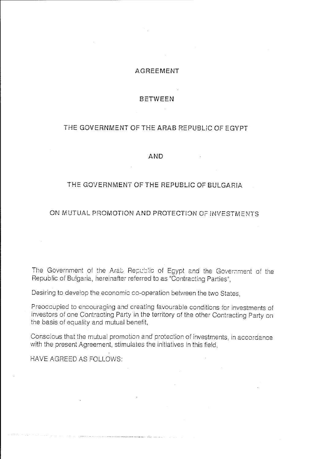## AGREEMENT

#### BETWEEN

## THE GOVERNMENT OF THE ARAB REPUBliC OF EGYPT

#### AND

## THE GOVERNMENT OF THE REPUBliC OF BULGARIA

## ON MUTUAL PROMOTION AND PROTECTION OF INVESTMENTS.

The Government of the Arab Republic of Egypt and the Government of the Republic of Bu!garia, hereinafter referred to as "Contracting Parties",

Desiring to develop the economic co-operation between the two States,

.<br>Storie kommercie en en en analyseerske en en saakkelijke op de op de storie en en en een verskeid op de stori

Preoccupied to encouraging and creating favourable conditions for investments of investors of one Contracting Party in the territory of the other Contracting Party on the basis of equality and mutual benefit,

Conscious that the mutual promotion and protection of investments, in accordance with the present Agreement, stimulates the initiatives in this field,

HAVE AGREED AS FOLLOWS: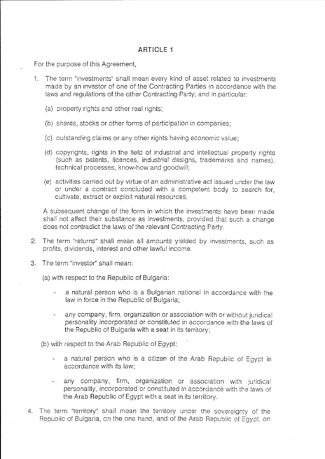# **ARTICLE 1**

For the purpose of this Agreement,

- 1. The term "investments" shall mean every kind of asset related to investments made by an investor of one of the Contracting Parties in accordance with the laws and regulations of the other Contracting Party, and in particular:
	- (a) property rights and other real rights;
	- (b) shares, stocks or other forms of participation in companies;
	- (c) outstanding claims or any other rights having economic value;
	- (d) copyrights, rights in the field of irdustria! and intellectual property rights (such as patents, licences, industrial designs, trademarks and names), technical processes, know-how and goodwill;
	- (e) activities carried out by virtue of an administrative act issued under the law or under a contract concluded with a competent body to search for, cultivate, extract or exploit natural resources.

A subsequent change of the form in which the investments have been made shail not affect their substance as investments, provided that such a change does not contradict the laws of the relevant Contracting Party.

- 2. The term "returns" shall mean all amounts yielded by investments, such as profits, dividends, interest and other lawful income.
- 3. The term "investor" shall mean:

(a) with respect to the Republic of Bulgaria:

- a natural person who is a Bulgarian national in accordance with the law in force in the Republic of Bulgaria;
- any company, firm, organization or association with or without juridical personality incorporated or constituted in accordance with the laws of the Republic of Bulgaria with a seat in its territory;

(b) with respect to the Arab Republic of Egypt:

- a natural person who is a citizen of the Arab Republic of Egypt in  $\omega_{\rm{max}}$ accordance with its law;
- any company, firm, organization or association with juridical personality, incorporated or constituted in accordance with the laws of the Arab Republic of Egypt with a seat in its territory.
- 4. The term "territory" shall mean the territory under the sovereignty of the Republic of Bulgaria, on the one hand, and of the Arab Republic of Egypt, on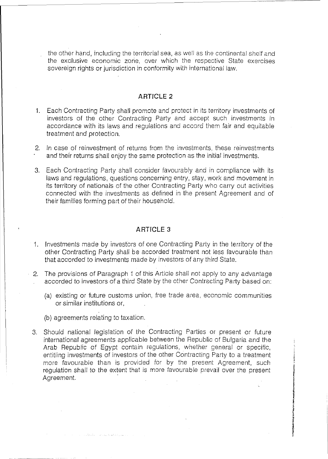the other hand, including the territorial sea, as well as the continental shelf and the exclusive economic zone, over which the respective State exercises sovereign rights or jurisdiction in conformity with international law.

#### **ARTICLE 2**

- 1. Each Contracting Party shall promote and protect in its territory investments of investors of the other Contracting Party and accept such investments in accordance with its laws and regulations and accord them fair and equitable treatment and protection.
- 2. In case of reinvestment of returns from the investments, these reinvestments and their returns shall enjoy the same protection as the initial investments.
- 3. Each Contracting Party shall consider favourably and in compliance with its laws and regulations, questions concerning entry, stay, work and movement in its territory of nationals of the other Contracting Party who carry out activities connected with the investments as defined in the present Agreement and of their families forming part of their household.

#### **ARTICLE 3**

- 1. Investments made by investors of one Contracting Party in the territory of the other Contracting Party shall be accorded treatment not less favourable than that accorded to investments made by investors of any third State.
- 2. The provisions of Paragraph 1 of this Article shall not apply to any advantage accorded to investors of a third State by the other Contracting Party based on:
	- (a) existing or future customs union, free trade area, economic communities or similar institutions or,
	- (b) agreements relating to taxation.

 $\beta_{\rm eff}$  , without  $\alpha_{\rm eff}$  ,  $\beta_{\rm eff}$  ,  $\alpha_{\rm eff}$  to attitude  $\alpha_{\rm eff}$  ,  $\beta_{\rm eff}$ 

3. Should national legislation of the Contracting Parties or present or future international agreements applicable between the Republic of Bulgaria and the Arab Republic of Egypt contain regulations, whether general or specific, entitling investments of investors of the other Contracting Party to a treatment more favourable than is provided for by the present Agreement, such regulation shall to the extent that is more favourable prevail over the present Agreement.

i I I !

i<br>International Calculation (Lake)<br>International Calculation

!<br>!<br>.

f<br>f **(ALALENHARD)**<br>Tanaharang

~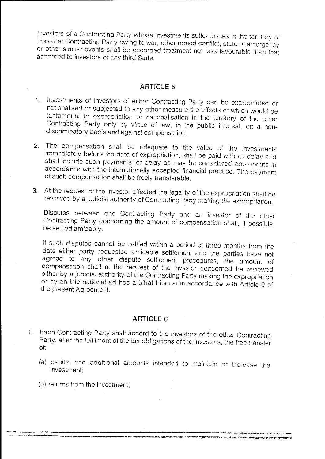Investors of a Contracting Party whose investments suffer losses in the territory of the other Contracting Party owing to war, other armed conflict, state of emergency 01 other similar events shall be accorded treatment not less favourable than that accorded to investors of any third State.

## **ARTICLE 5**

- 1. Investments of investors of either Contracting Party can be expropriated or nationalised or subjected to any other measure the effects of which would be tantamount to expropriation or nationalisation in the territory of the other Contracting Party only by virtue of law, in the public interest, on a nondiscriminatory basis and against compensation.
- 2. The compensation shall be adequate to the value of the investments immediately before the date of expropriation, shall be paid without delay and shall include such payments for delay as may be considered appropriate in accordance with the internationally accepted financial practice. The payment of such compensation shall be freely transferable.
- 3. At the request of the investor affected the legality of the expropriation shall be reviewed by a judicial authority of Contracting Party making the expropriation.

Disputes between one Contracting Party and an investor of the other Contracting Party concerning the amount of compensation shall, if possible, be settled amicably.

If such disputes cannot be settled within a period of three months from the date either party requested amicable settlement and the parties have not agreed to any other dispute settlement procedures, the amount of compensation shall at the request of the investor concerned be reviewed either by a judicial authority of the Contracting Party making the expropriation or by an international ad hoc arbitral tribunal in accordance with Article 9 of the present Agreement.

### **ARTICLE 6**

- 1. Each Contracting Party shall accord to the investors of the other Contracting Party, after the fulfilment of the tax obligations of the investors, the free transfer of:
	- (a) capital and additional amounts intended to maintain or Increase the investment;

**21 January 12 Andrew Professor (1999)** 

TE TE TE DE PETIT DE LA DISPOSITION (PETIT DE L'ORDE LA LABBETATA

(b) returns from the investment;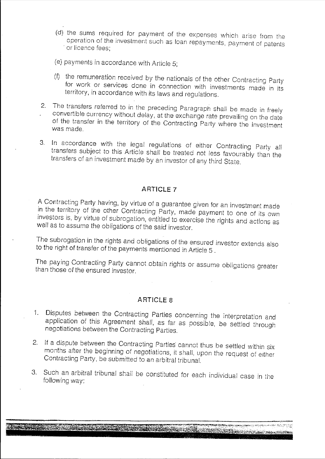- (d) the sums required for payment of the expenses which arise from the operation of the investment such as loan repayments, payment of patents or licence fees:
- (e) payments in accordance with Article 5;
- (f) the remuneration received by the nationals of the other Contracting Party for work or services done in connection with investments made in its territory, in accordance with its laws and regulations.
- 2. The transfers referred to in the preceding Paragraph shall be made in freely convertible currency without delay, at the exchange rate prevailing on the date of the transfer in the territory of the Contracting Party where the investment was made.
- 3. In accordance with the legal regulations of either Contracting Party all transfers subject to this Article shall be treated not less favourably than the transfers of an investment made by an investor of any third State.

# **ARTICLE 7**

A Contracting Party having, by virtue of a guarantee given for an investment made in the territory of the other Contracting Party, made payment to one of its own investors is, by virtue of subrogation, entitled to exercise the rights and actions as well as to assume the obligations of the said investor.

The subrogation in the rights and obligations of the ensured investor extends also to the right of transfer of the payments mentioned in Article 5 .

The paying Contracting Party cannot obtain rights or assume obligations greater than those of the ensured investor.

### **ARTICLE 8**

- 1. Disputes between the Contracting Parties concerning the interpretation and application of this Agreement shall, as far as possible, be settled through negotiations between the Contracting Parties.
- 2. If a dispute between the Contracting Parties cannot thus be settled within six months after the beginning of negotiations, it shall, upon the request of either Contracting Party, be submitted to an arbitral tribunal.
- 3. Such an arbitral tribunal shall be constituted for each individual case in the following way: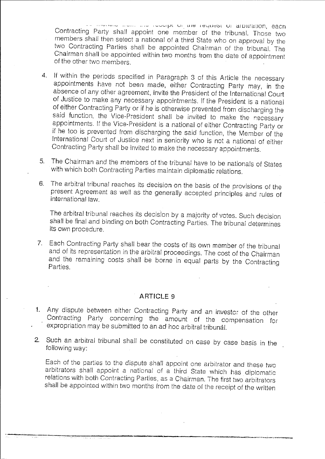",.-', .... ,''-' .. ~, .. **.......** ''-''--'''-'ijJl UI. **llJC** ICyUC;~L U; **dfUllr2:!.I10n , eacn**  Contracting Party shall appoint one member of the tribunal. Those two members shali then select a national of a third State who on approval by the two Contracting Parties shall be appointed Chairman of the tribunal. The Chairman shall be appointed within two months from the date of appointment of the other two members.

- 4. If within the periods specified in Paragraph 3 of this Article the necessary appointments have not been made, either Contracting Party may, in the absence of any other agreement, invite the President of the International Court of Justice to make any necessary appointments. If the President is a national of either Contracting Party or if he is otherwise prevented from discharging the said function, the Vice-President shall be invited to make the necessary appointments. If the Vice-President is a national of either Contracting Party or if he too is prevented from discharging the said function, the Member of the International Court of Justice next in seniority who is not a national of either Contracting Party shall be invited to make the necessary appointments.
- 5. The Chairman and the members of the tribunal have to be nationals of States with which both Contracting Parties maintain diplomatic relations.
- 6. The arbitral tribunal reaches its decision on the basis of the provisions of the present Agreement as well as the generally accepted principles and rules of international law.

The arbitral tribunal reaches its decision by a majority of votes. Such decision shall be final and binding on both Contracting Parties. The tribunal determines its own procedure.

7. Each Contracting Party shall bear the costs of its own member of the tribunal and of its representation in the arbitral proceedings. The cost of the Chairman and the remaining costs shall be borne in equal parts by the Contracting Parties.

### ARTICLE 9

- 1. Any dispute between either Contracting Party and an investor of the other Contracting Party concerning the amount of the compensation for expropriation may be submitted to an ad hoc arbitral tribunal.
- 2. Such an arbitral tribunal shall be constituted on case by case basis in the following way:

Each of the parties to the dispute shall appoint one arbitrator and these two arbitrators shall appoint a national of a third State which has diplomatic relations with both Contracting Parties, as a Chairman. The first two arbitrators shall be appointed within two months from the date of the receipt of the written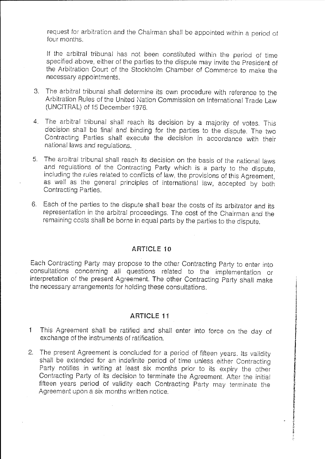request for arbitration and the Chairman shall be appointed within a period of four months.

If the arbitral tribunal has not been constituted within the period of time specified above, either of the parties to the dispute may invite the President of the Arbitration Court of the Stockholm Chamber of Commerce to make the necessary appointments.

- 3. The arbitral tribunal shall determine its own procedure with reference to the Arbitration Rules of the United Nation Commission on International Trade Law (UNC!TRAL) of 15 December 1976.
- 4. The arbitral tribunal shall reach its decision by a majority of votes. This decision shall be final and binding for the parties to the dispute. The two Contracting Parties shall execute the decision in accordance with their national laws and regulations.
- 5. The arpitral tribunal shall reach its decision on the basis of the national laws and regulations of the Contracting Party which is a party to the dispute, including the rules related to conflicts of law, the provisions of this Agreement, as well as the general principles of international law, accepted by both Contracting Parties.
- 6. Each of the parties to the dispute shall bear the costs of its arbitrator and its representation in the arbitral proceedings. The cost of the Chairman and the remaining costs shall be borne in equal parts by the parties to the dispute.

## **ART!CLE 10**

Each Contracting Party may propose to the other Contracting Party to enter into consultations concerning all questions related to the implementation or interpretation of the present Agreement. The other Contracting Party shall make the necessary arrangements for holding these consultations.

,

I !<br>!<br>! ! **International** 

ir (mannara da antinopolitica)<br>Iris (mannara da antinopolitica)<br>Iris (mannara da antinopolitica)

I i

" i ~. • I i<br>P

**PACE CAP** 

## **ARTICLE 11**

- 1 This Agreement shall be ratified and shall enter into force on the day of exchange of the instruments of ratification.
- 2. The present Agreement is concluded for a period of fifteen years. Its validity shall be extended for an indefinite period of time unless either Contracting Party notifies in writing at least six months prior to its expiry the other Contracting Party of its decision to terminate the Agreement. After the initial fifteen years period of validity each Contracting Party may terminate the Agreement upon a six months written notice.